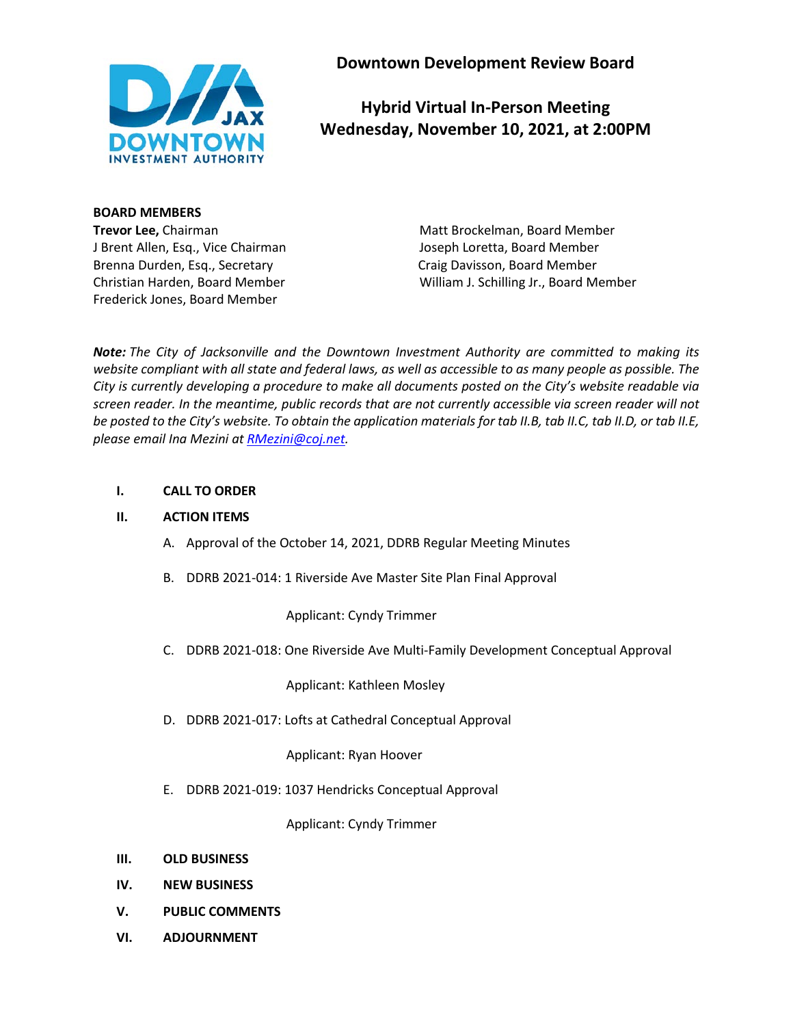

**Downtown Development Review Board**

# **Hybrid Virtual In-Person Meeting Wednesday, November 10, 2021, at 2:00PM**

#### **BOARD MEMBERS**

J Brent Allen, Esq., Vice Chairman Joseph Loretta, Board Member Brenna Durden, Esq., Secretary Craig Davisson, Board Member Frederick Jones, Board Member

**Trevor Lee,** Chairman Matt Brockelman, Board Member Christian Harden, Board Member William J. Schilling Jr., Board Member

*Note: The City of Jacksonville and the Downtown Investment Authority are committed to making its website compliant with all state and federal laws, as well as accessible to as many people as possible. The City is currently developing a procedure to make all documents posted on the City's website readable via screen reader. In the meantime, public records that are not currently accessible via screen reader will not be posted to the City's website. To obtain the application materials for tab II.B, tab II.C, tab II.D, or tab II.E, please email Ina Mezini at [RMezini@coj.net.](mailto:RMezini@coj.net)*

#### **I. CALL TO ORDER**

#### **II. ACTION ITEMS**

- A. Approval of the October 14, 2021, DDRB Regular Meeting Minutes
- B. DDRB 2021-014: 1 Riverside Ave Master Site Plan Final Approval

Applicant: Cyndy Trimmer

C. DDRB 2021-018: One Riverside Ave Multi-Family Development Conceptual Approval

Applicant: Kathleen Mosley

D. DDRB 2021-017: Lofts at Cathedral Conceptual Approval

Applicant: Ryan Hoover

E. DDRB 2021-019: 1037 Hendricks Conceptual Approval

Applicant: Cyndy Trimmer

- **III. OLD BUSINESS**
- **IV. NEW BUSINESS**
- **V. PUBLIC COMMENTS**
- **VI. ADJOURNMENT**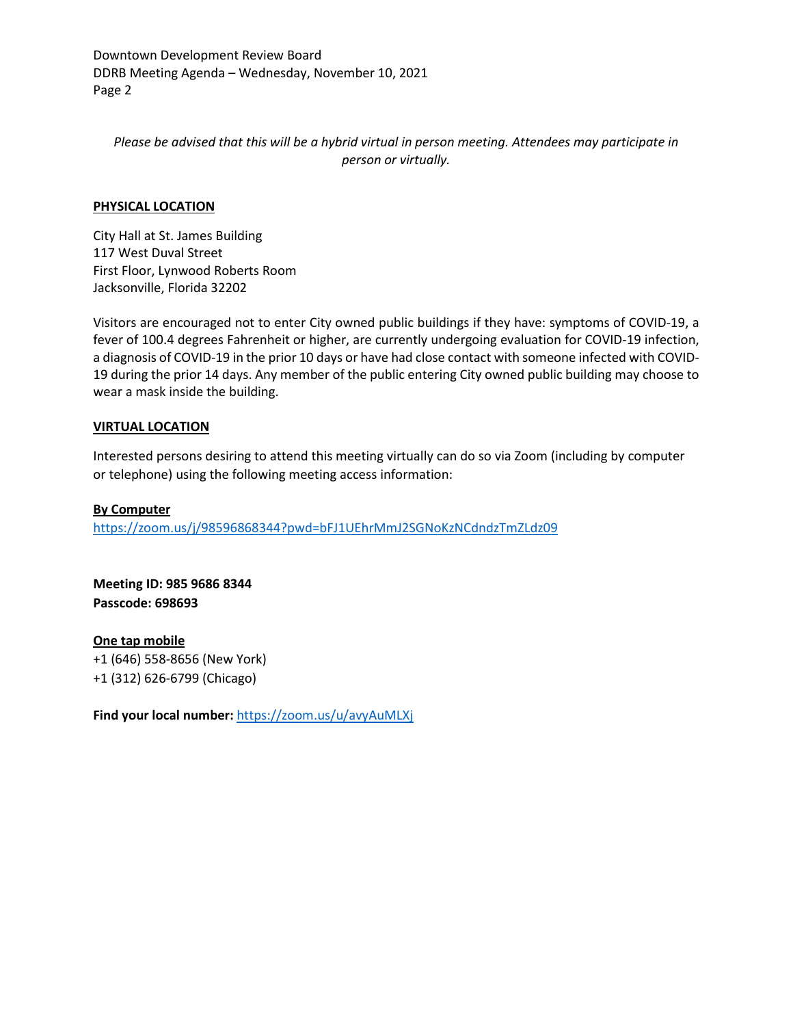Downtown Development Review Board DDRB Meeting Agenda – Wednesday, November 10, 2021 Page 2

*Please be advised that this will be a hybrid virtual in person meeting. Attendees may participate in person or virtually.*

#### **PHYSICAL LOCATION**

City Hall at St. James Building 117 West Duval Street First Floor, Lynwood Roberts Room Jacksonville, Florida 32202

Visitors are encouraged not to enter City owned public buildings if they have: symptoms of COVID-19, a fever of 100.4 degrees Fahrenheit or higher, are currently undergoing evaluation for COVID-19 infection, a diagnosis of COVID-19 in the prior 10 days or have had close contact with someone infected with COVID-19 during the prior 14 days. Any member of the public entering City owned public building may choose to wear a mask inside the building.

#### **VIRTUAL LOCATION**

Interested persons desiring to attend this meeting virtually can do so via Zoom (including by computer or telephone) using the following meeting access information:

**By Computer** <https://zoom.us/j/98596868344?pwd=bFJ1UEhrMmJ2SGNoKzNCdndzTmZLdz09>

**Meeting ID: 985 9686 8344 Passcode: 698693**

**One tap mobile** +1 (646) 558-8656 (New York) +1 (312) 626-6799 (Chicago)

**Find your local number:** <https://zoom.us/u/avyAuMLXj>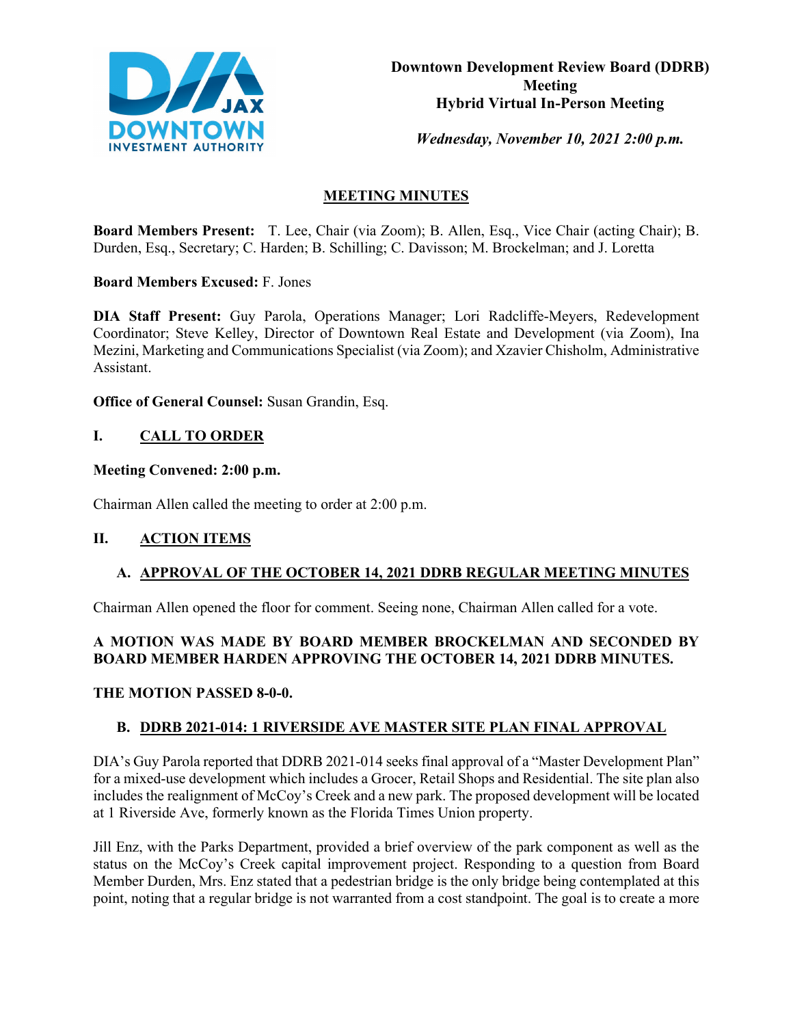

*Wednesday, November 10, 2021 2:00 p.m.* 

# **MEETING MINUTES**

**Board Members Present:** T. Lee, Chair (via Zoom); B. Allen, Esq., Vice Chair (acting Chair); B. Durden, Esq., Secretary; C. Harden; B. Schilling; C. Davisson; M. Brockelman; and J. Loretta

**Board Members Excused:** F. Jones

**DIA Staff Present:** Guy Parola, Operations Manager; Lori Radcliffe-Meyers, Redevelopment Coordinator; Steve Kelley, Director of Downtown Real Estate and Development (via Zoom), Ina Mezini, Marketing and Communications Specialist (via Zoom); and Xzavier Chisholm, Administrative Assistant.

**Office of General Counsel:** Susan Grandin, Esq.

## **I. CALL TO ORDER**

### **Meeting Convened: 2:00 p.m.**

Chairman Allen called the meeting to order at 2:00 p.m.

#### **II. ACTION ITEMS**

#### **A. APPROVAL OF THE OCTOBER 14, 2021 DDRB REGULAR MEETING MINUTES**

Chairman Allen opened the floor for comment. Seeing none, Chairman Allen called for a vote.

# **A MOTION WAS MADE BY BOARD MEMBER BROCKELMAN AND SECONDED BY BOARD MEMBER HARDEN APPROVING THE OCTOBER 14, 2021 DDRB MINUTES.**

#### **THE MOTION PASSED 8-0-0.**

#### **B. DDRB 2021-014: 1 RIVERSIDE AVE MASTER SITE PLAN FINAL APPROVAL**

DIA's Guy Parola reported that DDRB 2021-014 seeks final approval of a "Master Development Plan" for a mixed-use development which includes a Grocer, Retail Shops and Residential. The site plan also includes the realignment of McCoy's Creek and a new park. The proposed development will be located at 1 Riverside Ave, formerly known as the Florida Times Union property.

Jill Enz, with the Parks Department, provided a brief overview of the park component as well as the status on the McCoy's Creek capital improvement project. Responding to a question from Board Member Durden, Mrs. Enz stated that a pedestrian bridge is the only bridge being contemplated at this point, noting that a regular bridge is not warranted from a cost standpoint. The goal is to create a more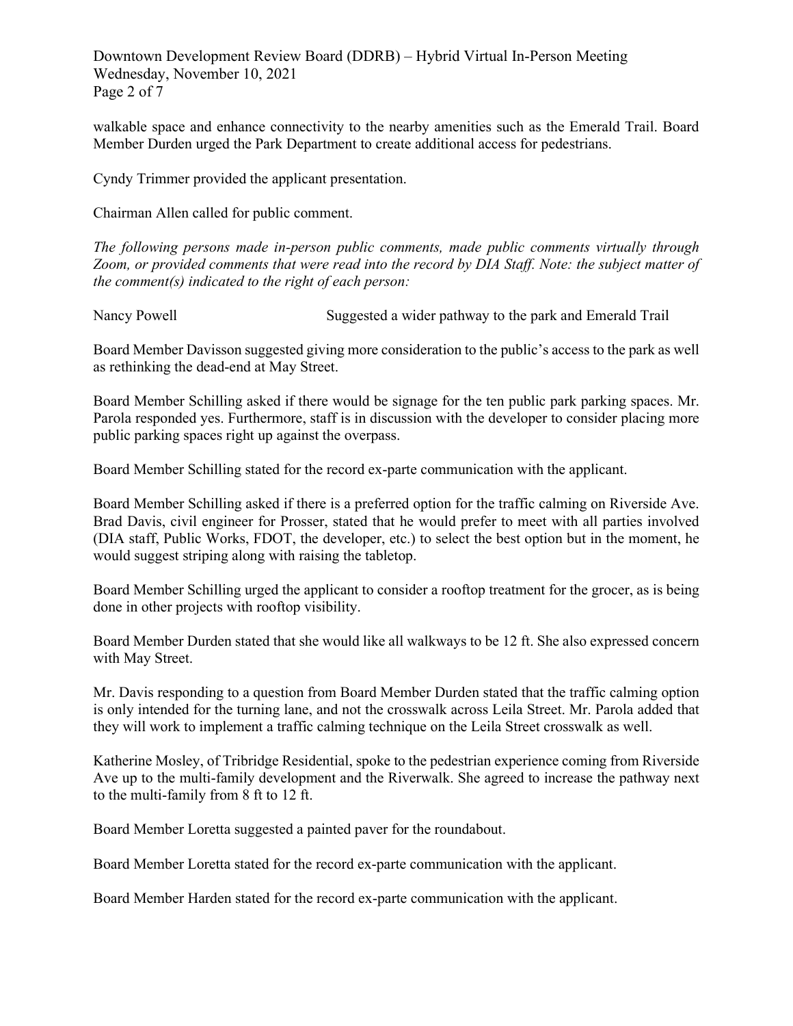Downtown Development Review Board (DDRB) – Hybrid Virtual In-Person Meeting Wednesday, November 10, 2021 Page 2 of 7

walkable space and enhance connectivity to the nearby amenities such as the Emerald Trail. Board Member Durden urged the Park Department to create additional access for pedestrians.

Cyndy Trimmer provided the applicant presentation.

Chairman Allen called for public comment.

*The following persons made in-person public comments, made public comments virtually through Zoom, or provided comments that were read into the record by DIA Staff. Note: the subject matter of the comment(s) indicated to the right of each person:*

Nancy Powell Suggested a wider pathway to the park and Emerald Trail

Board Member Davisson suggested giving more consideration to the public's access to the park as well as rethinking the dead-end at May Street.

Board Member Schilling asked if there would be signage for the ten public park parking spaces. Mr. Parola responded yes. Furthermore, staff is in discussion with the developer to consider placing more public parking spaces right up against the overpass.

Board Member Schilling stated for the record ex-parte communication with the applicant.

Board Member Schilling asked if there is a preferred option for the traffic calming on Riverside Ave. Brad Davis, civil engineer for Prosser, stated that he would prefer to meet with all parties involved (DIA staff, Public Works, FDOT, the developer, etc.) to select the best option but in the moment, he would suggest striping along with raising the tabletop.

Board Member Schilling urged the applicant to consider a rooftop treatment for the grocer, as is being done in other projects with rooftop visibility.

Board Member Durden stated that she would like all walkways to be 12 ft. She also expressed concern with May Street.

Mr. Davis responding to a question from Board Member Durden stated that the traffic calming option is only intended for the turning lane, and not the crosswalk across Leila Street. Mr. Parola added that they will work to implement a traffic calming technique on the Leila Street crosswalk as well.

Katherine Mosley, of Tribridge Residential, spoke to the pedestrian experience coming from Riverside Ave up to the multi-family development and the Riverwalk. She agreed to increase the pathway next to the multi-family from 8 ft to 12 ft.

Board Member Loretta suggested a painted paver for the roundabout.

Board Member Loretta stated for the record ex-parte communication with the applicant.

Board Member Harden stated for the record ex-parte communication with the applicant.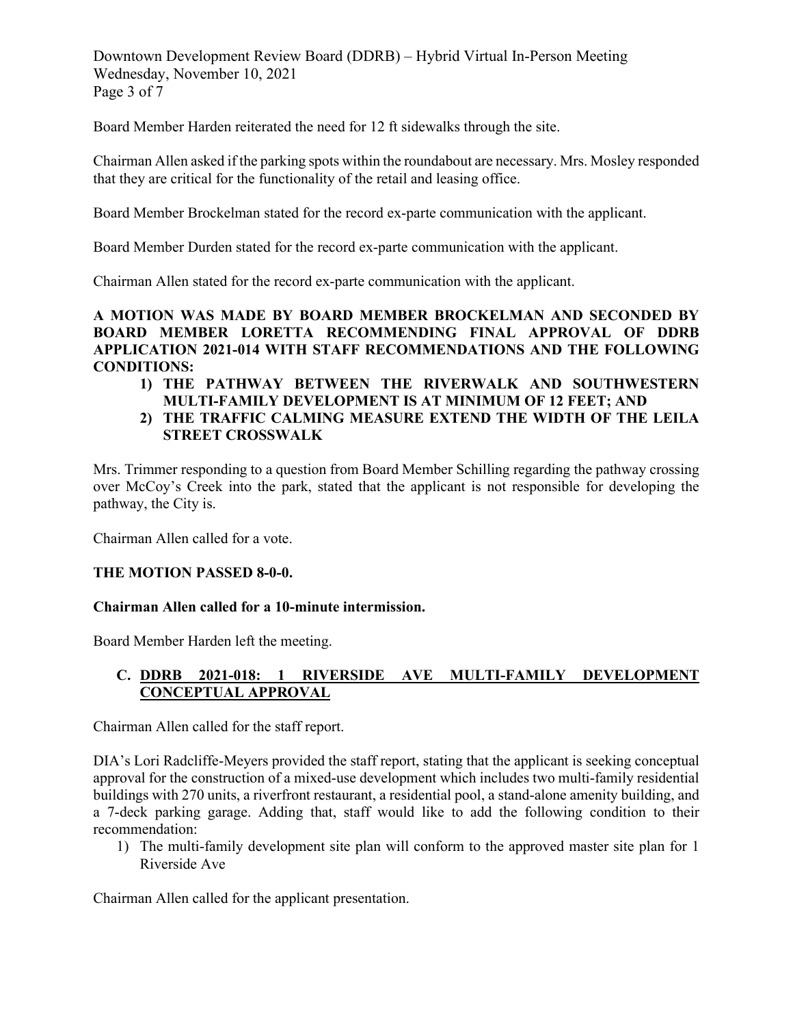Downtown Development Review Board (DDRB) – Hybrid Virtual In-Person Meeting Wednesday, November 10, 2021 Page 3 of 7

Board Member Harden reiterated the need for 12 ft sidewalks through the site.

Chairman Allen asked if the parking spots within the roundabout are necessary. Mrs. Mosley responded that they are critical for the functionality of the retail and leasing office.

Board Member Brockelman stated for the record ex-parte communication with the applicant.

Board Member Durden stated for the record ex-parte communication with the applicant.

Chairman Allen stated for the record ex-parte communication with the applicant.

## **A MOTION WAS MADE BY BOARD MEMBER BROCKELMAN AND SECONDED BY BOARD MEMBER LORETTA RECOMMENDING FINAL APPROVAL OF DDRB APPLICATION 2021-014 WITH STAFF RECOMMENDATIONS AND THE FOLLOWING CONDITIONS:**

- **1) THE PATHWAY BETWEEN THE RIVERWALK AND SOUTHWESTERN MULTI-FAMILY DEVELOPMENT IS AT MINIMUM OF 12 FEET; AND**
- **2) THE TRAFFIC CALMING MEASURE EXTEND THE WIDTH OF THE LEILA STREET CROSSWALK**

Mrs. Trimmer responding to a question from Board Member Schilling regarding the pathway crossing over McCoy's Creek into the park, stated that the applicant is not responsible for developing the pathway, the City is.

Chairman Allen called for a vote.

#### **THE MOTION PASSED 8-0-0.**

#### **Chairman Allen called for a 10-minute intermission.**

Board Member Harden left the meeting.

#### **C. DDRB 2021-018: 1 RIVERSIDE AVE MULTI-FAMILY DEVELOPMENT CONCEPTUAL APPROVAL**

Chairman Allen called for the staff report.

DIA's Lori Radcliffe-Meyers provided the staff report, stating that the applicant is seeking conceptual approval for the construction of a mixed-use development which includes two multi-family residential buildings with 270 units, a riverfront restaurant, a residential pool, a stand-alone amenity building, and a 7-deck parking garage. Adding that, staff would like to add the following condition to their recommendation:

1) The multi-family development site plan will conform to the approved master site plan for 1 Riverside Ave

Chairman Allen called for the applicant presentation.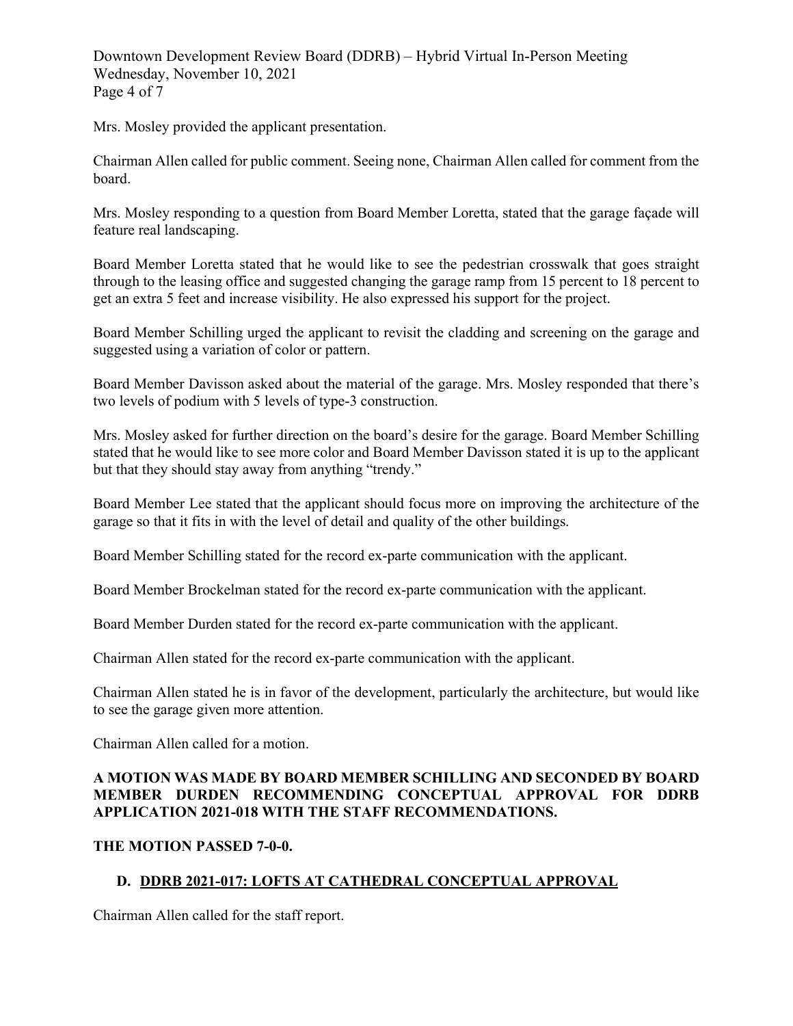Downtown Development Review Board (DDRB) – Hybrid Virtual In-Person Meeting Wednesday, November 10, 2021 Page 4 of 7

Mrs. Mosley provided the applicant presentation.

Chairman Allen called for public comment. Seeing none, Chairman Allen called for comment from the board.

Mrs. Mosley responding to a question from Board Member Loretta, stated that the garage façade will feature real landscaping.

Board Member Loretta stated that he would like to see the pedestrian crosswalk that goes straight through to the leasing office and suggested changing the garage ramp from 15 percent to 18 percent to get an extra 5 feet and increase visibility. He also expressed his support for the project.

Board Member Schilling urged the applicant to revisit the cladding and screening on the garage and suggested using a variation of color or pattern.

Board Member Davisson asked about the material of the garage. Mrs. Mosley responded that there's two levels of podium with 5 levels of type-3 construction.

Mrs. Mosley asked for further direction on the board's desire for the garage. Board Member Schilling stated that he would like to see more color and Board Member Davisson stated it is up to the applicant but that they should stay away from anything "trendy."

Board Member Lee stated that the applicant should focus more on improving the architecture of the garage so that it fits in with the level of detail and quality of the other buildings.

Board Member Schilling stated for the record ex-parte communication with the applicant.

Board Member Brockelman stated for the record ex-parte communication with the applicant.

Board Member Durden stated for the record ex-parte communication with the applicant.

Chairman Allen stated for the record ex-parte communication with the applicant.

Chairman Allen stated he is in favor of the development, particularly the architecture, but would like to see the garage given more attention.

Chairman Allen called for a motion.

## **A MOTION WAS MADE BY BOARD MEMBER SCHILLING AND SECONDED BY BOARD MEMBER DURDEN RECOMMENDING CONCEPTUAL APPROVAL FOR DDRB APPLICATION 2021-018 WITH THE STAFF RECOMMENDATIONS.**

#### **THE MOTION PASSED 7-0-0.**

## **D. DDRB 2021-017: LOFTS AT CATHEDRAL CONCEPTUAL APPROVAL**

Chairman Allen called for the staff report.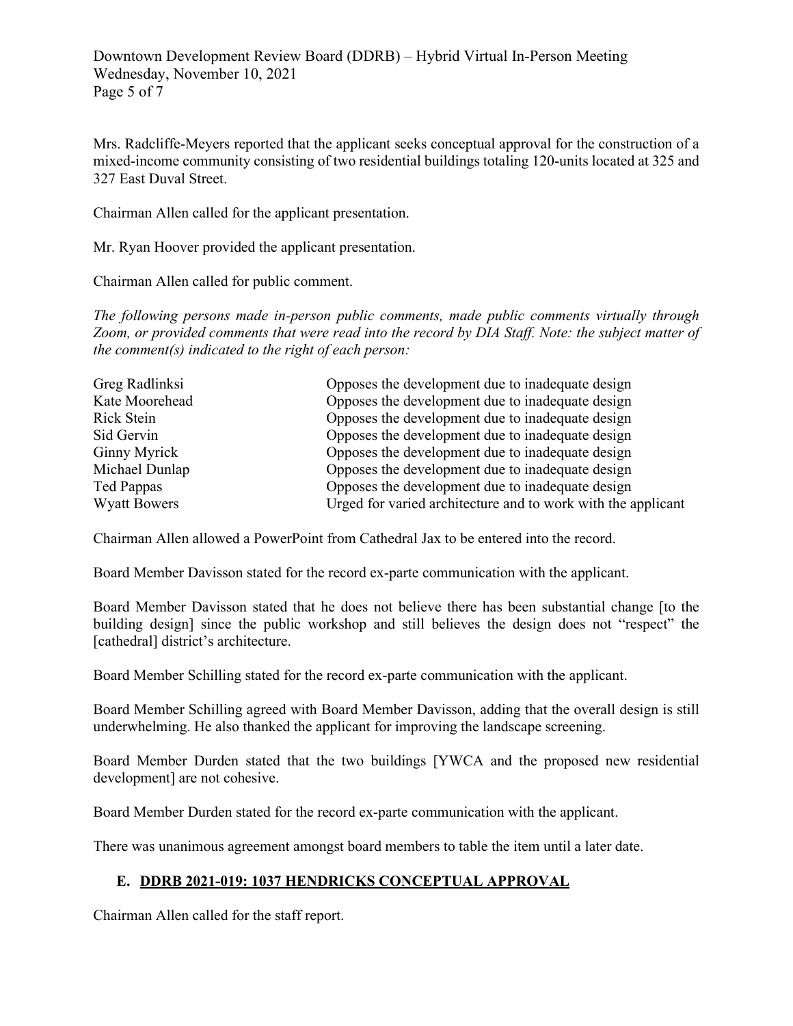Downtown Development Review Board (DDRB) – Hybrid Virtual In-Person Meeting Wednesday, November 10, 2021 Page 5 of 7

Mrs. Radcliffe-Meyers reported that the applicant seeks conceptual approval for the construction of a mixed-income community consisting of two residential buildings totaling 120-units located at 325 and 327 East Duval Street.

Chairman Allen called for the applicant presentation.

Mr. Ryan Hoover provided the applicant presentation.

Chairman Allen called for public comment.

*The following persons made in-person public comments, made public comments virtually through Zoom, or provided comments that were read into the record by DIA Staff. Note: the subject matter of the comment(s) indicated to the right of each person:*

| Greg Radlinksi      | Opposes the development due to inadequate design             |
|---------------------|--------------------------------------------------------------|
| Kate Moorehead      | Opposes the development due to inadequate design             |
| Rick Stein          | Opposes the development due to inadequate design             |
| Sid Gervin          | Opposes the development due to inadequate design             |
| Ginny Myrick        | Opposes the development due to inadequate design             |
| Michael Dunlap      | Opposes the development due to inadequate design             |
| Ted Pappas          | Opposes the development due to inadequate design             |
| <b>Wyatt Bowers</b> | Urged for varied architecture and to work with the applicant |

Chairman Allen allowed a PowerPoint from Cathedral Jax to be entered into the record.

Board Member Davisson stated for the record ex-parte communication with the applicant.

Board Member Davisson stated that he does not believe there has been substantial change [to the building design] since the public workshop and still believes the design does not "respect" the [cathedral] district's architecture.

Board Member Schilling stated for the record ex-parte communication with the applicant.

Board Member Schilling agreed with Board Member Davisson, adding that the overall design is still underwhelming. He also thanked the applicant for improving the landscape screening.

Board Member Durden stated that the two buildings [YWCA and the proposed new residential development] are not cohesive.

Board Member Durden stated for the record ex-parte communication with the applicant.

There was unanimous agreement amongst board members to table the item until a later date.

# **E. DDRB 2021-019: 1037 HENDRICKS CONCEPTUAL APPROVAL**

Chairman Allen called for the staff report.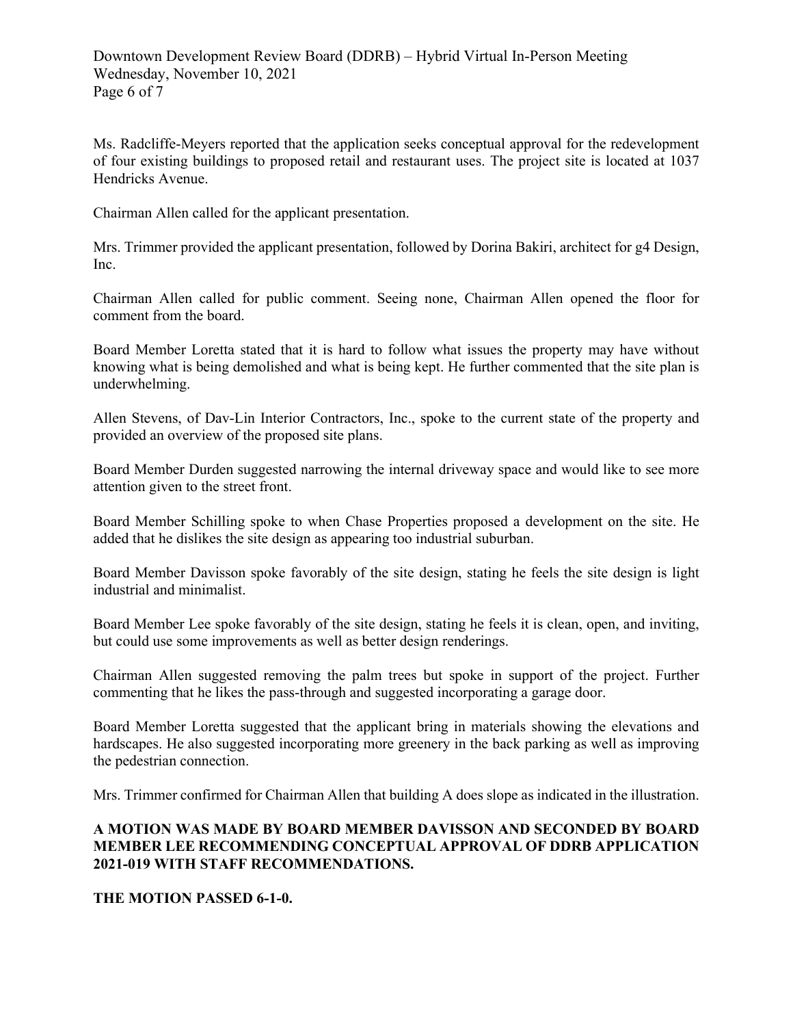Ms. Radcliffe-Meyers reported that the application seeks conceptual approval for the redevelopment of four existing buildings to proposed retail and restaurant uses. The project site is located at 1037 Hendricks Avenue.

Chairman Allen called for the applicant presentation.

Mrs. Trimmer provided the applicant presentation, followed by Dorina Bakiri, architect for g4 Design, Inc.

Chairman Allen called for public comment. Seeing none, Chairman Allen opened the floor for comment from the board.

Board Member Loretta stated that it is hard to follow what issues the property may have without knowing what is being demolished and what is being kept. He further commented that the site plan is underwhelming.

Allen Stevens, of Dav-Lin Interior Contractors, Inc., spoke to the current state of the property and provided an overview of the proposed site plans.

Board Member Durden suggested narrowing the internal driveway space and would like to see more attention given to the street front.

Board Member Schilling spoke to when Chase Properties proposed a development on the site. He added that he dislikes the site design as appearing too industrial suburban.

Board Member Davisson spoke favorably of the site design, stating he feels the site design is light industrial and minimalist.

Board Member Lee spoke favorably of the site design, stating he feels it is clean, open, and inviting, but could use some improvements as well as better design renderings.

Chairman Allen suggested removing the palm trees but spoke in support of the project. Further commenting that he likes the pass-through and suggested incorporating a garage door.

Board Member Loretta suggested that the applicant bring in materials showing the elevations and hardscapes. He also suggested incorporating more greenery in the back parking as well as improving the pedestrian connection.

Mrs. Trimmer confirmed for Chairman Allen that building A does slope as indicated in the illustration.

## **A MOTION WAS MADE BY BOARD MEMBER DAVISSON AND SECONDED BY BOARD MEMBER LEE RECOMMENDING CONCEPTUAL APPROVAL OF DDRB APPLICATION 2021-019 WITH STAFF RECOMMENDATIONS.**

#### **THE MOTION PASSED 6-1-0.**